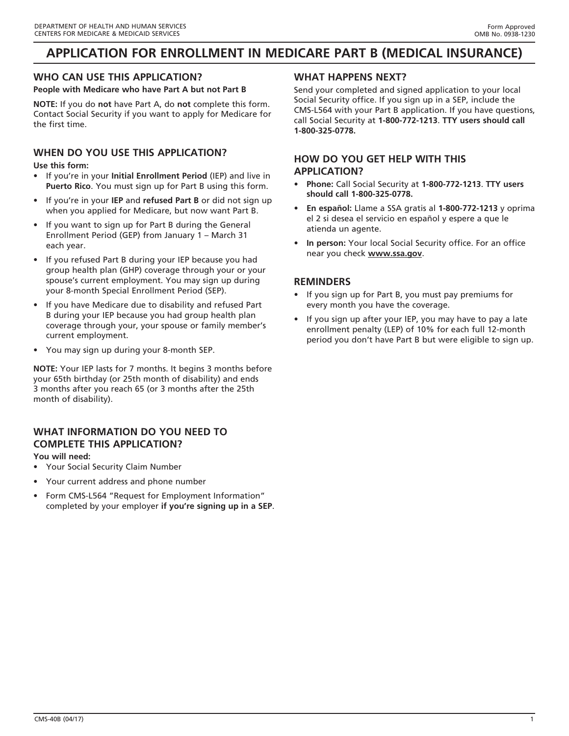# **APPLICATION FOR ENROLLMENT IN MEDICARE PART B (MEDICAL INSURANCE)**

# **WHO CAN USE THIS APPLICATION?**

**People with Medicare who have Part A but not Part B**

**NOTE:** If you do **not** have Part A, do **not** complete this form. Contact Social Security if you want to apply for Medicare for the first time.

# **WHEN DO YOU USE THIS APPLICATION?**

**Use this form:**

- If you're in your **Initial Enrollment Period** (IEP) and live in **Puerto Rico**. You must sign up for Part B using this form.
- If you're in your **IEP** and **refused Part B** or did not sign up when you applied for Medicare, but now want Part B.
- If you want to sign up for Part B during the General Enrollment Period (GEP) from January 1 – March 31 each year.
- If you refused Part B during your IEP because you had group health plan (GHP) coverage through your or your spouse's current employment. You may sign up during your 8-month Special Enrollment Period (SEP).
- If you have Medicare due to disability and refused Part B during your IEP because you had group health plan coverage through your, your spouse or family member's current employment.
- You may sign up during your 8-month SEP.

**NOTE:** Your IEP lasts for 7 months. It begins 3 months before your 65th birthday (or 25th month of disability) and ends 3 months after you reach 65 (or 3 months after the 25th month of disability).

# **WHAT INFORMATION DO YOU NEED TO COMPLETE THIS APPLICATION?**

## **You will need:**

- Your Social Security Claim Number
- Your current address and phone number
- Form CMS-L564 "Request for Employment Information" completed by your employer **if you're signing up in a SEP**.

## **WHAT HAPPENS NEXT?**

Send your completed and signed application to your local Social Security office. If you sign up in a SEP, include the CMS-L564 with your Part B application. If you have questions, call Social Security at **1-800-772-1213**. **TTY users should call 1-800-325-0778.**

# **HOW DO YOU GET HELP WITH THIS APPLICATION?**

- **Phone:** Call Social Security at **1-800-772-1213**. **TTY users should call 1-800-325-0778.**
- **En español:** Llame a SSA gratis al **1-800-772-1213** y oprima el 2 si desea el servicio en español y espere a que le atienda un agente.
- **In person:** Your local Social Security office. For an office near you check **www.ssa.gov**.

## **REMINDERS**

- If you sign up for Part B, you must pay premiums for every month you have the coverage.
- If you sign up after your IEP, you may have to pay a late enrollment penalty (LEP) of 10% for each full 12-month period you don't have Part B but were eligible to sign up.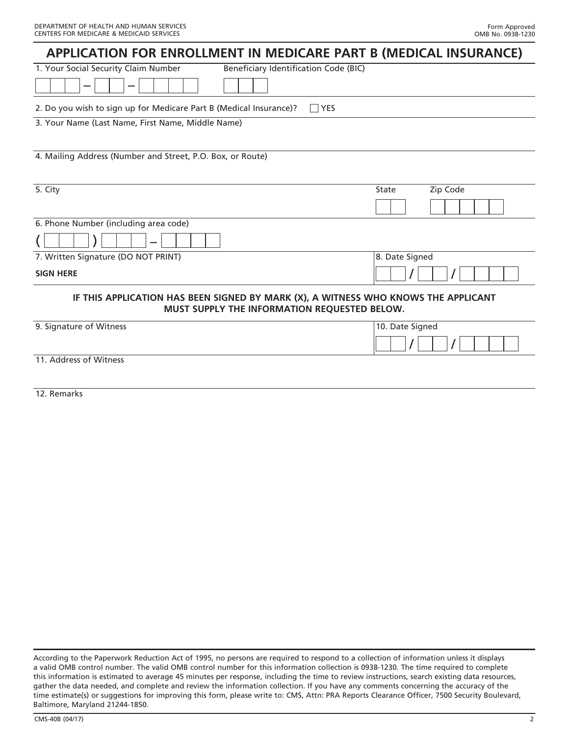| APPLICATION FOR ENROLLMENT IN MEDICARE PART B (MEDICAL INSURANCE)                                                                     |                   |
|---------------------------------------------------------------------------------------------------------------------------------------|-------------------|
| 1. Your Social Security Claim Number<br>Beneficiary Identification Code (BIC)                                                         |                   |
|                                                                                                                                       |                   |
| 2. Do you wish to sign up for Medicare Part B (Medical Insurance)?<br><b>YES</b><br>3. Your Name (Last Name, First Name, Middle Name) |                   |
|                                                                                                                                       |                   |
| 4. Mailing Address (Number and Street, P.O. Box, or Route)                                                                            |                   |
|                                                                                                                                       |                   |
| 5. City                                                                                                                               | Zip Code<br>State |
|                                                                                                                                       |                   |
| 6. Phone Number (including area code)                                                                                                 |                   |
|                                                                                                                                       |                   |
| 7. Written Signature (DO NOT PRINT)                                                                                                   | 8. Date Signed    |
| <b>SIGN HERE</b>                                                                                                                      |                   |
| IF THIS APPLICATION HAS BEEN SIGNED BY MARK (X), A WITNESS WHO KNOWS THE APPLICANT<br>MUST SUPPLY THE INFORMATION REQUESTED BELOW.    |                   |
| 9. Signature of Witness                                                                                                               | 10. Date Signed   |
|                                                                                                                                       |                   |
| 11. Address of Witness                                                                                                                |                   |
|                                                                                                                                       |                   |
| 12. Remarks                                                                                                                           |                   |

According to the Paperwork Reduction Act of 1995, no persons are required to respond to a collection of information unless it displays a valid OMB control number. The valid OMB control number for this information collection is 0938-1230. The time required to complete this information is estimated to average 45 minutes per response, including the time to review instructions, search existing data resources, gather the data needed, and complete and review the information collection. If you have any comments concerning the accuracy of the time estimate(s) or suggestions for improving this form, please write to: CMS, Attn: PRA Reports Clearance Officer, 7500 Security Boulevard, Baltimore, Maryland 21244-1850.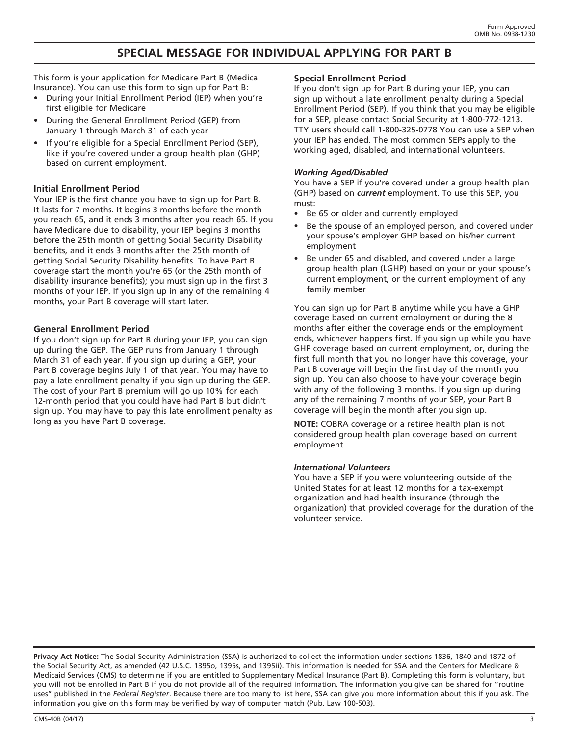# **SPECIAL MESSAGE FOR INDIVIDUAL APPLYING FOR PART B**

This form is your application for Medicare Part B (Medical Insurance). You can use this form to sign up for Part B:

- During your Initial Enrollment Period (IEP) when you're first eligible for Medicare
- During the General Enrollment Period (GEP) from January 1 through March 31 of each year
- If you're eligible for a Special Enrollment Period (SEP), like if you're covered under a group health plan (GHP) based on current employment.

## **Initial Enrollment Period**

Your IEP is the first chance you have to sign up for Part B. It lasts for 7 months. It begins 3 months before the month you reach 65, and it ends 3 months after you reach 65. If you have Medicare due to disability, your IEP begins 3 months before the 25th month of getting Social Security Disability benefits, and it ends 3 months after the 25th month of getting Social Security Disability benefits. To have Part B coverage start the month you're 65 (or the 25th month of disability insurance benefits); you must sign up in the first 3 months of your IEP. If you sign up in any of the remaining 4 months, your Part B coverage will start later.

## **General Enrollment Period**

If you don't sign up for Part B during your IEP, you can sign up during the GEP. The GEP runs from January 1 through March 31 of each year. If you sign up during a GEP, your Part B coverage begins July 1 of that year. You may have to pay a late enrollment penalty if you sign up during the GEP. The cost of your Part B premium will go up 10% for each 12-month period that you could have had Part B but didn't sign up. You may have to pay this late enrollment penalty as long as you have Part B coverage.

## **Special Enrollment Period**

If you don't sign up for Part B during your IEP, you can sign up without a late enrollment penalty during a Special Enrollment Period (SEP). If you think that you may be eligible for a SEP, please contact Social Security at 1-800-772-1213. TTY users should call 1-800-325-0778 You can use a SEP when your IEP has ended. The most common SEPs apply to the working aged, disabled, and international volunteers.

## *Working Aged/Disabled*

You have a SEP if you're covered under a group health plan (GHP) based on *current* employment. To use this SEP, you must:

- Be 65 or older and currently employed
- Be the spouse of an employed person, and covered under your spouse's employer GHP based on his/her current employment
- Be under 65 and disabled, and covered under a large group health plan (LGHP) based on your or your spouse's current employment, or the current employment of any family member

You can sign up for Part B anytime while you have a GHP coverage based on current employment or during the 8 months after either the coverage ends or the employment ends, whichever happens first. If you sign up while you have GHP coverage based on current employment, or, during the first full month that you no longer have this coverage, your Part B coverage will begin the first day of the month you sign up. You can also choose to have your coverage begin with any of the following 3 months. If you sign up during any of the remaining 7 months of your SEP, your Part B coverage will begin the month after you sign up.

**NOTE:** COBRA coverage or a retiree health plan is not considered group health plan coverage based on current employment.

## *International Volunteers*

You have a SEP if you were volunteering outside of the United States for at least 12 months for a tax-exempt organization and had health insurance (through the organization) that provided coverage for the duration of the volunteer service.

**Privacy Act Notice:** The Social Security Administration (SSA) is authorized to collect the information under sections 1836, 1840 and 1872 of the Social Security Act, as amended (42 U.S.C. 1395o, 1395s, and 1395ii). This information is needed for SSA and the Centers for Medicare & Medicaid Services (CMS) to determine if you are entitled to Supplementary Medical Insurance (Part B). Completing this form is voluntary, but you will not be enrolled in Part B if you do not provide all of the required information. The information you give can be shared for "routine uses" published in the *Federal Register*. Because there are too many to list here, SSA can give you more information about this if you ask. The information you give on this form may be verified by way of computer match (Pub. Law 100-503).